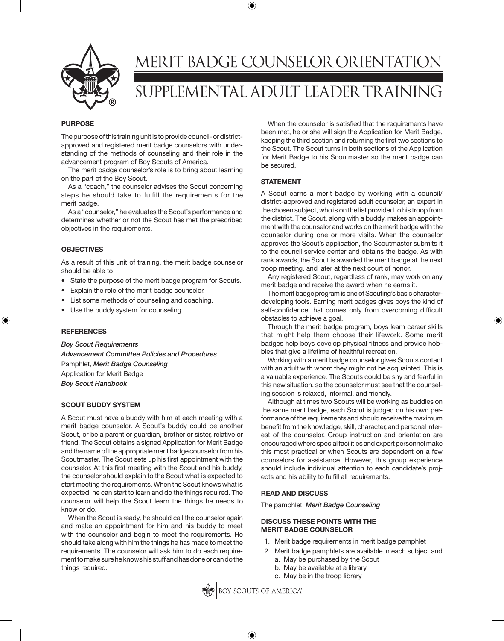

# MERIT BADGE COUNSELOR ORIENTATION SUPPLEMENTAL ADULT LEADER TRAINING

⊕

#### **PURPOSE**

The purpose of this training unit is to provide council- or districtapproved and registered merit badge counselors with understanding of the methods of counseling and their role in the advancement program of Boy Scouts of America.

The merit badge counselor's role is to bring about learning on the part of the Boy Scout.

As a "coach," the counselor advises the Scout concerning steps he should take to fulfill the requirements for the merit badge.

As a "counselor," he evaluates the Scout's performance and determines whether or not the Scout has met the prescribed objectives in the requirements.

# **OBJECTIVES**

As a result of this unit of training, the merit badge counselor should be able to

- State the purpose of the merit badge program for Scouts.
- Explain the role of the merit badge counselor.
- List some methods of counseling and coaching.
- Use the buddy system for counseling.

#### **REFERENCES**

⊕

*Boy Scout Requirements Advancement Committee Policies and Procedures* Pamphlet, *Merit Badge Counseling* Application for Merit Badge *Boy Scout Handbook*

# **SCOUT BUDDY SYSTEM**

A Scout must have a buddy with him at each meeting with a merit badge counselor. A Scout's buddy could be another Scout, or be a parent or guardian, brother or sister, relative or friend. The Scout obtains a signed Application for Merit Badge and the name of the appropriate merit badge counselor from his Scoutmaster. The Scout sets up his first appointment with the counselor. At this first meeting with the Scout and his buddy, the counselor should explain to the Scout what is expected to start meeting the requirements. When the Scout knows what is expected, he can start to learn and do the things required. The counselor will help the Scout learn the things he needs to know or do.

When the Scout is ready, he should call the counselor again and make an appointment for him and his buddy to meet with the counselor and begin to meet the requirements. He should take along with him the things he has made to meet the requirements. The counselor will ask him to do each requirement to make sure he knows his stuff and has done or can do the things required.

When the counselor is satisfied that the requirements have been met, he or she will sign the Application for Merit Badge, keeping the third section and returning the first two sections to the Scout. The Scout turns in both sections of the Application for Merit Badge to his Scoutmaster so the merit badge can be secured.

#### **STATEMENT**

A Scout earns a merit badge by working with a council/ district-approved and registered adult counselor, an expert in the chosen subject, who is on the list provided to his troop from the district. The Scout, along with a buddy, makes an appointment with the counselor and works on the merit badge with the counselor during one or more visits. When the counselor approves the Scout's application, the Scoutmaster submits it to the council service center and obtains the badge. As with rank awards, the Scout is awarded the merit badge at the next troop meeting, and later at the next court of honor.

Any registered Scout, regardless of rank, may work on any merit badge and receive the award when he earns it.

The merit badge program is one of Scouting's basic characterdeveloping tools. Earning merit badges gives boys the kind of self-confidence that comes only from overcoming difficult obstacles to achieve a goal.

⊕

Through the merit badge program, boys learn career skills that might help them choose their lifework. Some merit badges help boys develop physical fitness and provide hobbies that give a lifetime of healthful recreation.

Working with a merit badge counselor gives Scouts contact with an adult with whom they might not be acquainted. This is a valuable experience. The Scouts could be shy and fearful in this new situation, so the counselor must see that the counseling session is relaxed, informal, and friendly.

Although at times two Scouts will be working as buddies on the same merit badge, each Scout is judged on his own performance of the requirements and should receive the maximum benefit from the knowledge, skill, character, and personal interest of the counselor. Group instruction and orientation are encouraged where special facilities and expert personnel make this most practical or when Scouts are dependent on a few counselors for assistance. However, this group experience should include individual attention to each candidate's projects and his ability to fulfill all requirements.

# **READ AND DISCUSS**

The pamphlet, *Merit Badge Counseling*

# **DISCUSS THESE POINTS WITH THE MERIT BADGE COUNSELOR**

- 1. Merit badge requirements in merit badge pamphlet
- 2. Merit badge pamphlets are available in each subject and
	- a. May be purchased by the Scout
	- b. May be available at a library
	- c. May be in the troop library



⊕